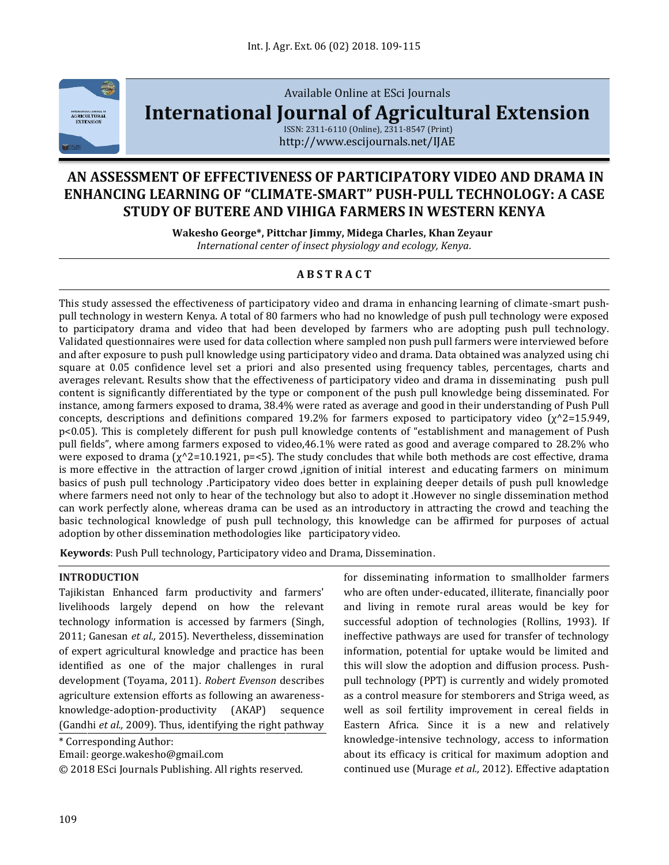

# Available Online at ESci Journals **[International Journal of Agricultural Extension](http://www.escijournals.net/IJER)**

ISSN: 2311-6110 (Online), 2311-8547 (Print) http://www.escijournals.net/IJAE

## **AN ASSESSMENT OF EFFECTIVENESS OF PARTICIPATORY VIDEO AND DRAMA IN ENHANCING LEARNING OF "CLIMATE-SMART" PUSH-PULL TECHNOLOGY: A CASE STUDY OF BUTERE AND VIHIGA FARMERS IN WESTERN KENYA**

**Wakesho George\*, Pittchar Jimmy, Midega Charles, Khan Zeyaur** *International center of insect physiology and ecology, Kenya.*

## **A B S T R A C T**

This study assessed the effectiveness of participatory video and drama in enhancing learning of climate-smart pushpull technology in western Kenya. A total of 80 farmers who had no knowledge of push pull technology were exposed to participatory drama and video that had been developed by farmers who are adopting push pull technology. Validated questionnaires were used for data collection where sampled non push pull farmers were interviewed before and after exposure to push pull knowledge using participatory video and drama. Data obtained was analyzed using chi square at 0.05 confidence level set a priori and also presented using frequency tables, percentages, charts and averages relevant. Results show that the effectiveness of participatory video and drama in disseminating push pull content is significantly differentiated by the type or component of the push pull knowledge being disseminated. For instance, among farmers exposed to drama, 38.4% were rated as average and good in their understanding of Push Pull concepts, descriptions and definitions compared 19.2% for farmers exposed to participatory video (χ^2=15.949, p<0.05). This is completely different for push pull knowledge contents of "establishment and management of Push pull fields", where among farmers exposed to video,46.1% were rated as good and average compared to 28.2% who were exposed to drama ( $\chi^2=10.1921$ , p=<5). The study concludes that while both methods are cost effective, drama is more effective in the attraction of larger crowd ,ignition of initial interest and educating farmers on minimum basics of push pull technology .Participatory video does better in explaining deeper details of push pull knowledge where farmers need not only to hear of the technology but also to adopt it .However no single dissemination method can work perfectly alone, whereas drama can be used as an introductory in attracting the crowd and teaching the basic technological knowledge of push pull technology, this knowledge can be affirmed for purposes of actual adoption by other dissemination methodologies like participatory video.

**Keywords**: Push Pull technology, Participatory video and Drama, Dissemination.

#### **INTRODUCTION**

Tajikistan Enhanced farm productivity and farmers' livelihoods largely depend on how the relevant technology information is accessed by farmers (Singh, 2011; Ganesan *et al.,* 2015). Nevertheless, dissemination of expert agricultural knowledge and practice has been identified as one of the major challenges in rural development (Toyama, 2011). *Robert Evenson* describes agriculture extension efforts as following an awarenessknowledge-adoption-productivity (AKAP) sequence (Gandhi et al., 2009). Thus, identifying the right pathway

\* Corresponding Author:

Email: george.wakesho@gmail.com

© 2018 ESci Journals Publishing. All rights reserved.

for disseminating information to smallholder farmers who are often under-educated, illiterate, financially poor and living in remote rural areas would be key for successful adoption of technologies (Rollins, 1993). If ineffective pathways are used for transfer of technology information, potential for uptake would be limited and this will slow the adoption and diffusion process. Pushpull technology (PPT) is currently and widely promoted as a control measure for stemborers and Striga weed, as well as soil fertility improvement in cereal fields in Eastern Africa. Since it is a new and relatively knowledge-intensive technology, access to information about its efficacy is critical for maximum adoption and continued use (Murage *et al.,* 2012). Effective adaptation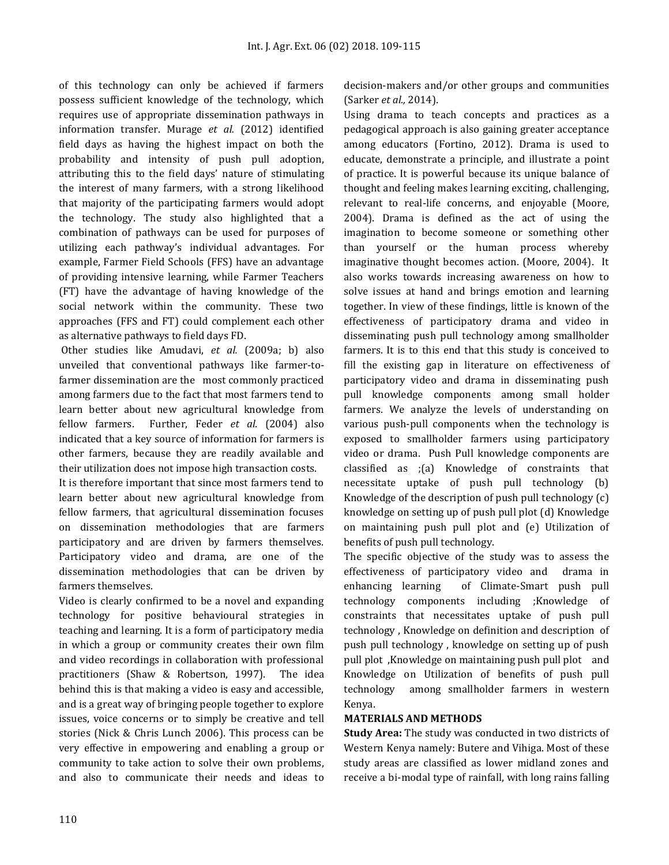of this technology can only be achieved if farmers possess sufficient knowledge of the technology, which requires use of appropriate dissemination pathways in information transfer. Murage *et al.* (2012) identified field days as having the highest impact on both the probability and intensity of push pull adoption, attributing this to the field days' nature of stimulating the interest of many farmers, with a strong likelihood that majority of the participating farmers would adopt the technology. The study also highlighted that a combination of pathways can be used for purposes of utilizing each pathway's individual advantages. For example, Farmer Field Schools (FFS) have an advantage of providing intensive learning, while Farmer Teachers (FT) have the advantage of having knowledge of the social network within the community. These two approaches (FFS and FT) could complement each other as alternative pathways to field days FD.

Other studies like Amudavi, *et al.* (2009a; b) also unveiled that conventional pathways like farmer-tofarmer dissemination are the most commonly practiced among farmers due to the fact that most farmers tend to learn better about new agricultural knowledge from fellow farmers. Further, Feder *et al.* (2004) also indicated that a key source of information for farmers is other farmers, because they are readily available and their utilization does not impose high transaction costs.

It is therefore important that since most farmers tend to learn better about new agricultural knowledge from fellow farmers, that agricultural dissemination focuses on dissemination methodologies that are farmers participatory and are driven by farmers themselves. Participatory video and drama, are one of the dissemination methodologies that can be driven by farmers themselves.

Video is clearly confirmed to be a novel and expanding technology for positive behavioural strategies in teaching and learning. It is a form of participatory media in which a group or community creates their own film and video recordings in collaboration with professional practitioners (Shaw & Robertson, 1997). The idea behind this is that making a video is easy and accessible, and is a great way of bringing people together to explore issues, voice concerns or to simply be creative and tell stories (Nick & Chris Lunch 2006). This process can be very effective in empowering and enabling a group or community to take action to solve their own problems, and also to communicate their needs and ideas to decision-makers and/or other groups and communities (Sarker *et al.,* 2014).

Using drama to teach concepts and practices as a pedagogical approach is also gaining greater acceptance among educators (Fortino, 2012). Drama is used to educate, demonstrate a principle, and illustrate a point of practice. It is powerful because its unique balance of thought and feeling makes learning exciting, challenging, relevant to real-life concerns, and enjoyable (Moore, 2004). Drama is defined as the act of using the imagination to become someone or something other than yourself or the human process whereby imaginative thought becomes action. (Moore, 2004). It also works towards increasing awareness on how to solve issues at hand and brings emotion and learning together. In view of these findings, little is known of the effectiveness of participatory drama and video in disseminating push pull technology among smallholder farmers. It is to this end that this study is conceived to fill the existing gap in literature on effectiveness of participatory video and drama in disseminating push pull knowledge components among small holder farmers. We analyze the levels of understanding on various push-pull components when the technology is exposed to smallholder farmers using participatory video or drama. Push Pull knowledge components are classified as ;(a) Knowledge of constraints that necessitate uptake of push pull technology (b) Knowledge of the description of push pull technology (c) knowledge on setting up of push pull plot (d) Knowledge on maintaining push pull plot and (e) Utilization of benefits of push pull technology.

The specific objective of the study was to assess the effectiveness of participatory video and drama in enhancing learning of Climate-Smart push pull technology components including ;Knowledge of constraints that necessitates uptake of push pull technology , Knowledge on definition and description of push pull technology , knowledge on setting up of push pull plot ,Knowledge on maintaining push pull plot and Knowledge on Utilization of benefits of push pull technology among smallholder farmers in western Kenya.

#### **MATERIALS AND METHODS**

**Study Area:** The study was conducted in two districts of Western Kenya namely: Butere and Vihiga. Most of these study areas are classified as lower midland zones and receive a bi-modal type of rainfall, with long rains falling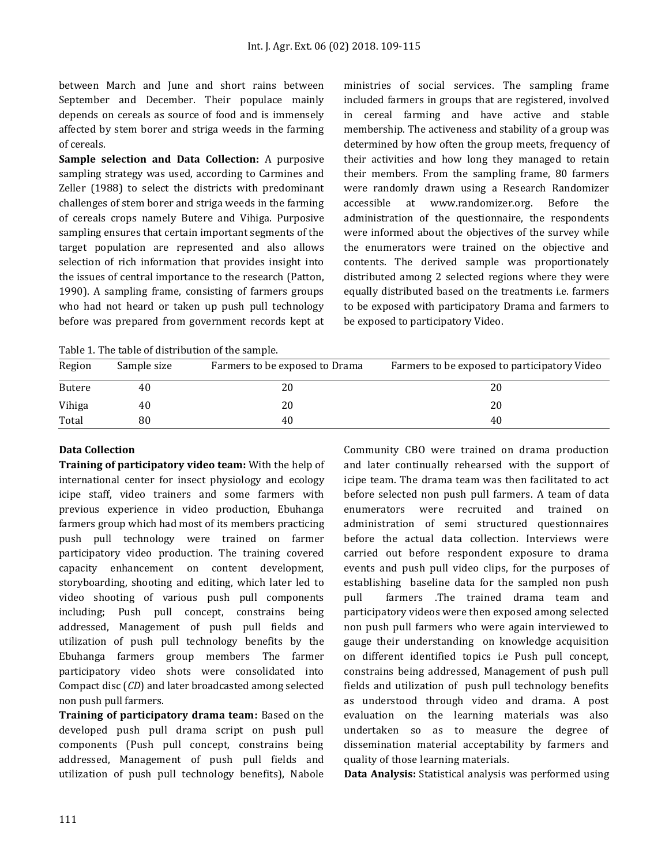between March and June and short rains between September and December. Their populace mainly depends on cereals as source of food and is immensely affected by stem borer and striga weeds in the farming of cereals.

**Sample selection and Data Collection:** A purposive sampling strategy was used, according to Carmines and Zeller (1988) to select the districts with predominant challenges of stem borer and striga weeds in the farming of cereals crops namely Butere and Vihiga. Purposive sampling ensures that certain important segments of the target population are represented and also allows selection of rich information that provides insight into the issues of central importance to the research (Patton, 1990). A sampling frame, consisting of farmers groups who had not heard or taken up push pull technology before was prepared from government records kept at

ministries of social services. The sampling frame included farmers in groups that are registered, involved in cereal farming and have active and stable membership. The activeness and stability of a group was determined by how often the group meets, frequency of their activities and how long they managed to retain their members. From the sampling frame, 80 farmers were randomly drawn using a Research Randomizer accessible at www.randomizer.org. Before the administration of the questionnaire, the respondents were informed about the objectives of the survey while the enumerators were trained on the objective and contents. The derived sample was proportionately distributed among 2 selected regions where they were equally distributed based on the treatments i.e. farmers to be exposed with participatory Drama and farmers to be exposed to participatory Video.

Table 1. The table of distribution of the sample.

| Table 1. The table of distribution of the sample. |             |                                |                                              |  |  |  |  |
|---------------------------------------------------|-------------|--------------------------------|----------------------------------------------|--|--|--|--|
| Region                                            | Sample size | Farmers to be exposed to Drama | Farmers to be exposed to participatory Video |  |  |  |  |
| Butere                                            | 40          | 20                             | 20                                           |  |  |  |  |
| Vihiga                                            | 40          | 20                             | 20                                           |  |  |  |  |
| Total                                             | 80          | 40                             | 40                                           |  |  |  |  |

## **Data Collection**

**Training of participatory video team:** With the help of international center for insect physiology and ecology icipe staff, video trainers and some farmers with previous experience in video production, Ebuhanga farmers group which had most of its members practicing push pull technology were trained on farmer participatory video production. The training covered capacity enhancement on content development, storyboarding, shooting and editing, which later led to video shooting of various push pull components including; Push pull concept, constrains being addressed, Management of push pull fields and utilization of push pull technology benefits by the Ebuhanga farmers group members The farmer participatory video shots were consolidated into Compact disc (*CD*) and later broadcasted among selected non push pull farmers.

**Training of participatory drama team:** Based on the developed push pull drama script on push pull components (Push pull concept, constrains being addressed, Management of push pull fields and utilization of push pull technology benefits), Nabole Community CBO were trained on drama production and later continually rehearsed with the support of icipe team. The drama team was then facilitated to act before selected non push pull farmers. A team of data enumerators were recruited and trained on administration of semi structured questionnaires before the actual data collection. Interviews were carried out before respondent exposure to drama events and push pull video clips, for the purposes of establishing baseline data for the sampled non push pull farmers .The trained drama team and participatory videos were then exposed among selected non push pull farmers who were again interviewed to gauge their understanding on knowledge acquisition on different identified topics i.e Push pull concept, constrains being addressed, Management of push pull fields and utilization of push pull technology benefits as understood through video and drama. A post evaluation on the learning materials was also undertaken so as to measure the degree of dissemination material acceptability by farmers and quality of those learning materials.

**Data Analysis:** Statistical analysis was performed using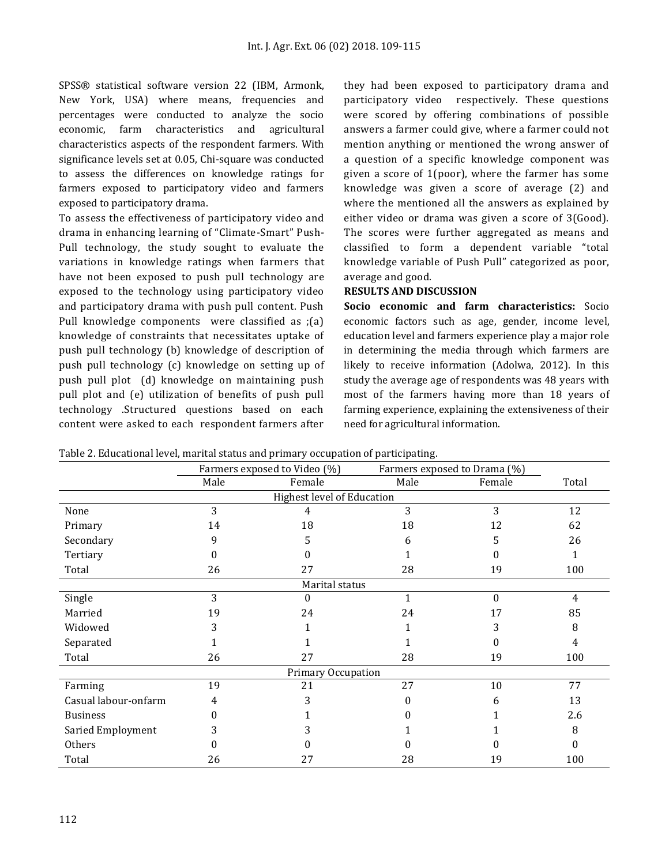SPSS® statistical software version 22 (IBM, Armonk, New York, USA) where means, frequencies and percentages were conducted to analyze the socio economic, farm characteristics and agricultural characteristics aspects of the respondent farmers. With significance levels set at 0.05, Chi-square was conducted to assess the differences on knowledge ratings for farmers exposed to participatory video and farmers exposed to participatory drama.

To assess the effectiveness of participatory video and drama in enhancing learning of "Climate-Smart" Push-Pull technology, the study sought to evaluate the variations in knowledge ratings when farmers that have not been exposed to push pull technology are exposed to the technology using participatory video and participatory drama with push pull content. Push Pull knowledge components were classified as ;(a) knowledge of constraints that necessitates uptake of push pull technology (b) knowledge of description of push pull technology (c) knowledge on setting up of push pull plot (d) knowledge on maintaining push pull plot and (e) utilization of benefits of push pull technology .Structured questions based on each content were asked to each respondent farmers after

they had been exposed to participatory drama and participatory video respectively. These questions were scored by offering combinations of possible answers a farmer could give, where a farmer could not mention anything or mentioned the wrong answer of a question of a specific knowledge component was given a score of 1(poor), where the farmer has some knowledge was given a score of average (2) and where the mentioned all the answers as explained by either video or drama was given a score of 3(Good). The scores were further aggregated as means and classified to form a dependent variable "total knowledge variable of Push Pull" categorized as poor, average and good.

## **RESULTS AND DISCUSSION**

**Socio economic and farm characteristics:** Socio economic factors such as age, gender, income level, education level and farmers experience play a major role in determining the media through which farmers are likely to receive information (Adolwa, 2012). In this study the average age of respondents was 48 years with most of the farmers having more than 18 years of farming experience, explaining the extensiveness of their need for agricultural information.

Table 2. Educational level, marital status and primary occupation of participating.

|                            | Farmers exposed to Video (%) |                    | Farmers exposed to Drama (%) |          |                |  |  |
|----------------------------|------------------------------|--------------------|------------------------------|----------|----------------|--|--|
|                            | Male                         | Female             | Male                         | Female   | Total          |  |  |
| Highest level of Education |                              |                    |                              |          |                |  |  |
| None                       | 3                            | 4                  | 3                            | 3        | 12             |  |  |
| Primary                    | 14                           | 18                 | 18                           | 12       | 62             |  |  |
| Secondary                  | 9                            | 5.                 | 6                            | 5        | 26             |  |  |
| Tertiary                   | 0                            |                    |                              | 0        | 1              |  |  |
| Total                      | 26                           | 27                 | 28                           | 19       | 100            |  |  |
|                            |                              | Marital status     |                              |          |                |  |  |
| Single                     | 3                            | $\Omega$           | 1                            | $\theta$ | $\overline{4}$ |  |  |
| Married                    | 19                           | 24                 | 24                           | 17       | 85             |  |  |
| Widowed                    | 3                            |                    |                              | 3        | 8              |  |  |
| Separated                  |                              |                    |                              |          | 4              |  |  |
| Total                      | 26                           | 27                 | 28                           | 19       | 100            |  |  |
|                            |                              | Primary Occupation |                              |          |                |  |  |
| Farming                    | 19                           | 21                 | 27                           | 10       | 77             |  |  |
| Casual labour-onfarm       | 4                            | 3                  | 0                            | 6        | 13             |  |  |
| <b>Business</b>            |                              |                    |                              |          | 2.6            |  |  |
| Saried Employment          | 3                            |                    |                              |          | 8              |  |  |
| Others                     |                              |                    |                              |          | $\Omega$       |  |  |
| Total                      | 26                           | 27                 | 28                           | 19       | 100            |  |  |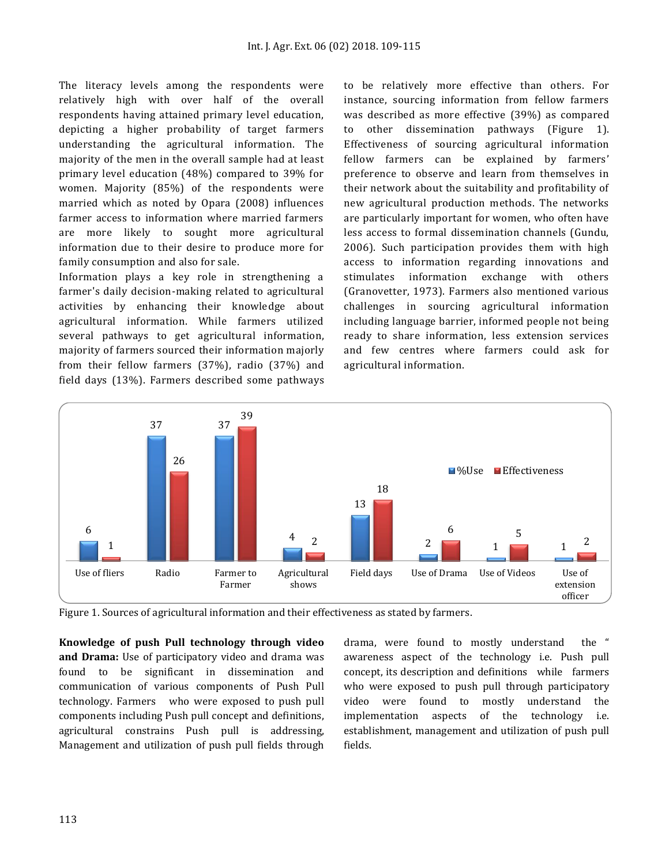The literacy levels among the respondents were relatively high with over half of the overall respondents having attained primary level education, depicting a higher probability of target farmers understanding the agricultural information. The majority of the men in the overall sample had at least primary level education (48%) compared to 39% for women. Majority (85%) of the respondents were married which as noted by Opara (2008) influences farmer access to information where married farmers are more likely to sought more agricultural information due to their desire to produce more for family consumption and also for sale.

Information plays a key role in strengthening a farmer's daily decision-making related to agricultural activities by enhancing their knowledge about agricultural information. While farmers utilized several pathways to get agricultural information, majority of farmers sourced their information majorly from their fellow farmers (37%), radio (37%) and field days (13%). Farmers described some pathways

to be relatively more effective than others. For instance, sourcing information from fellow farmers was described as more effective (39%) as compared to other dissemination pathways (Figure 1). Effectiveness of sourcing agricultural information fellow farmers can be explained by farmers' preference to observe and learn from themselves in their network about the suitability and profitability of new agricultural production methods. The networks are particularly important for women, who often have less access to formal dissemination channels (Gundu, 2006). Such participation provides them with high access to information regarding innovations and stimulates information exchange with others (Granovetter, 1973). Farmers also mentioned various challenges in sourcing agricultural information including language barrier, informed people not being ready to share information, less extension services and few centres where farmers could ask for agricultural information.



Figure 1. Sources of agricultural information and their effectiveness as stated by farmers.

**Knowledge of push Pull technology through video and Drama:** Use of participatory video and drama was found to be significant in dissemination and communication of various components of Push Pull technology. Farmers who were exposed to push pull components including Push pull concept and definitions, agricultural constrains Push pull is addressing, Management and utilization of push pull fields through

drama, were found to mostly understand the " awareness aspect of the technology i.e. Push pull concept, its description and definitions while farmers who were exposed to push pull through participatory video were found to mostly understand the implementation aspects of the technology i.e. establishment, management and utilization of push pull fields.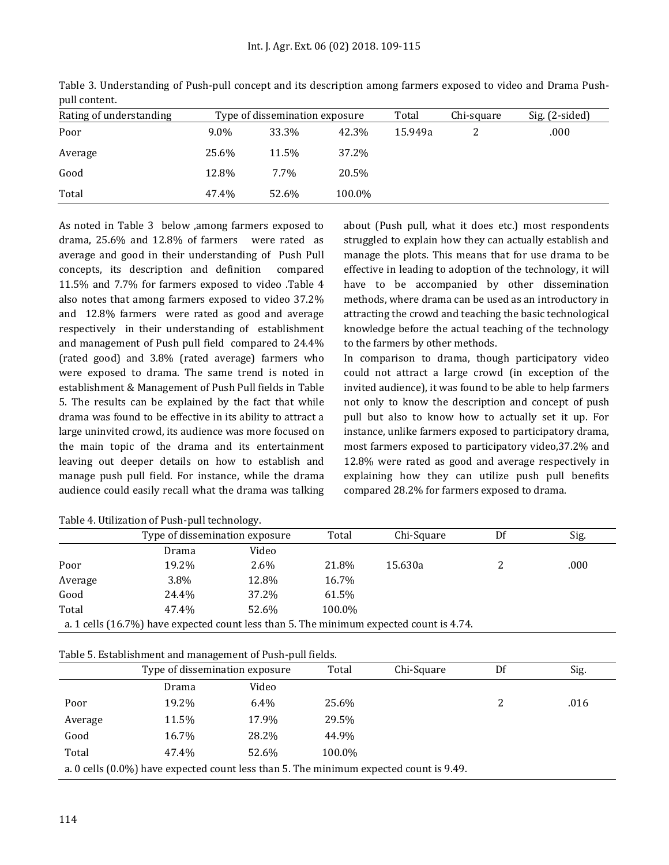| Rating of understanding |       | Type of dissemination exposure |        | Total   | Chi-square | Sig. (2-sided) |
|-------------------------|-------|--------------------------------|--------|---------|------------|----------------|
| Poor                    | 9.0%  | 33.3%                          | 42.3%  | 15.949a | ▵          | .000           |
| Average                 | 25.6% | 11.5%                          | 37.2%  |         |            |                |
| Good                    | 12.8% | $7.7\%$                        | 20.5%  |         |            |                |
| Total                   | 47.4% | 52.6%                          | 100.0% |         |            |                |

Table 3. Understanding of Push-pull concept and its description among farmers exposed to video and Drama Pushpull content.

As noted in Table 3 below ,among farmers exposed to drama, 25.6% and 12.8% of farmers were rated as average and good in their understanding of Push Pull concepts, its description and definition compared 11.5% and 7.7% for farmers exposed to video .Table 4 also notes that among farmers exposed to video 37.2% and 12.8% farmers were rated as good and average respectively in their understanding of establishment and management of Push pull field compared to 24.4% (rated good) and 3.8% (rated average) farmers who were exposed to drama. The same trend is noted in establishment & Management of Push Pull fields in Table 5. The results can be explained by the fact that while drama was found to be effective in its ability to attract a large uninvited crowd, its audience was more focused on the main topic of the drama and its entertainment leaving out deeper details on how to establish and manage push pull field. For instance, while the drama audience could easily recall what the drama was talking about (Push pull, what it does etc.) most respondents struggled to explain how they can actually establish and manage the plots. This means that for use drama to be effective in leading to adoption of the technology, it will have to be accompanied by other dissemination methods, where drama can be used as an introductory in attracting the crowd and teaching the basic technological knowledge before the actual teaching of the technology to the farmers by other methods.

In comparison to drama, though participatory video could not attract a large crowd (in exception of the invited audience), it was found to be able to help farmers not only to know the description and concept of push pull but also to know how to actually set it up. For instance, unlike farmers exposed to participatory drama, most farmers exposed to participatory video,37.2% and 12.8% were rated as good and average respectively in explaining how they can utilize push pull benefits compared 28.2% for farmers exposed to drama.

|         | Type of dissemination exposure                                                          |       | Total  | Chi-Square | Df | Sig. |
|---------|-----------------------------------------------------------------------------------------|-------|--------|------------|----|------|
|         | Drama                                                                                   | Video |        |            |    |      |
| Poor    | 19.2%                                                                                   | 2.6%  | 21.8%  | 15.630a    |    | .000 |
| Average | 3.8%                                                                                    | 12.8% | 16.7%  |            |    |      |
| Good    | 24.4%                                                                                   | 37.2% | 61.5%  |            |    |      |
| Total   | 47.4%                                                                                   | 52.6% | 100.0% |            |    |      |
|         | a. 1 cells (16.7%) have expected count less than 5. The minimum expected count is 4.74. |       |        |            |    |      |

|  |  | Table 4. Utilization of Push-pull technology. |  |
|--|--|-----------------------------------------------|--|
|--|--|-----------------------------------------------|--|

| Table 5. Establishment and management of Push-pull fields. |  |  |
|------------------------------------------------------------|--|--|
|                                                            |  |  |

|         | Type of dissemination exposure                                                         |         | Total  | Chi-Square | Df | Sig. |
|---------|----------------------------------------------------------------------------------------|---------|--------|------------|----|------|
|         | Drama                                                                                  | Video   |        |            |    |      |
| Poor    | 19.2%                                                                                  | $6.4\%$ | 25.6%  |            |    | .016 |
| Average | 11.5%                                                                                  | 17.9%   | 29.5%  |            |    |      |
| Good    | 16.7%                                                                                  | 28.2%   | 44.9%  |            |    |      |
| Total   | 47.4%                                                                                  | 52.6%   | 100.0% |            |    |      |
|         | a. 0 cells (0.0%) have expected count less than 5. The minimum expected count is 9.49. |         |        |            |    |      |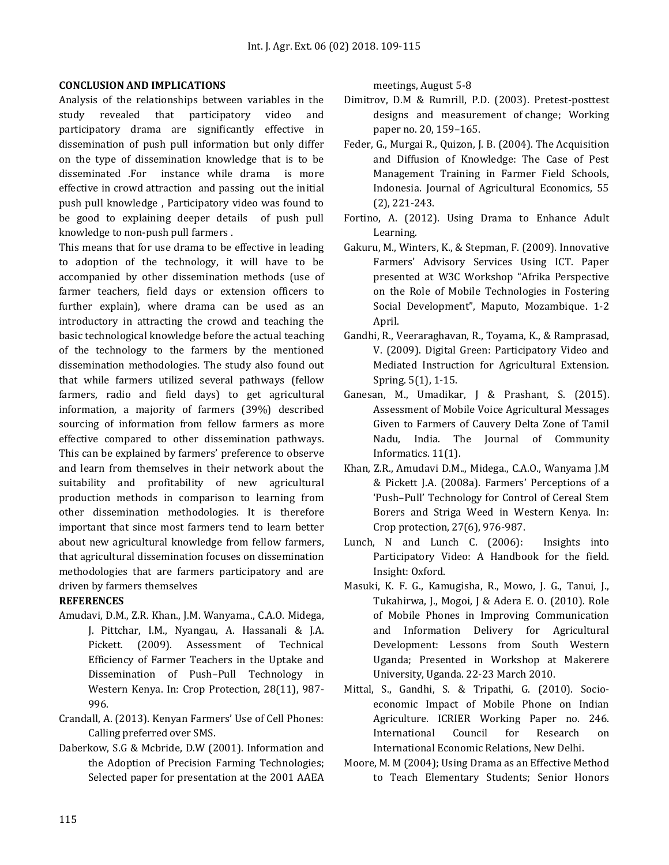#### **CONCLUSION AND IMPLICATIONS**

Analysis of the relationships between variables in the study revealed that participatory video and participatory drama are significantly effective in dissemination of push pull information but only differ on the type of dissemination knowledge that is to be disseminated .For instance while drama is more effective in crowd attraction and passing out the initial push pull knowledge , Participatory video was found to be good to explaining deeper details of push pull knowledge to non-push pull farmers .

This means that for use drama to be effective in leading to adoption of the technology, it will have to be accompanied by other dissemination methods (use of farmer teachers, field days or extension officers to further explain), where drama can be used as an introductory in attracting the crowd and teaching the basic technological knowledge before the actual teaching of the technology to the farmers by the mentioned dissemination methodologies. The study also found out that while farmers utilized several pathways (fellow farmers, radio and field days) to get agricultural information, a majority of farmers (39%) described sourcing of information from fellow farmers as more effective compared to other dissemination pathways. This can be explained by farmers' preference to observe and learn from themselves in their network about the suitability and profitability of new agricultural production methods in comparison to learning from other dissemination methodologies. It is therefore important that since most farmers tend to learn better about new agricultural knowledge from fellow farmers, that agricultural dissemination focuses on dissemination methodologies that are farmers participatory and are driven by farmers themselves

#### **REFERENCES**

- Amudavi, D.M., Z.R. Khan., J.M. Wanyama., C.A.O. Midega, J. Pittchar, I.M., Nyangau, A. Hassanali & J.A. Pickett. (2009). Assessment of Technical Efficiency of Farmer Teachers in the Uptake and Dissemination of Push–Pull Technology in Western Kenya. In: Crop Protection, 28(11), 987- 996.
- Crandall, A. (2013). Kenyan Farmers' Use of Cell Phones: Calling preferred over SMS.
- Daberkow, S.G & Mcbride, D.W (2001). Information and the Adoption of Precision Farming Technologies; Selected paper for presentation at the 2001 AAEA

meetings, August 5-8

- Dimitrov, D.M & Rumrill, P.D. (2003). Pretest-posttest designs and measurement of change; Working paper no. 20, 159–165.
- Feder, G., Murgai R., Quizon, J. B. (2004). The Acquisition and Diffusion of Knowledge: The Case of Pest Management Training in Farmer Field Schools, Indonesia. Journal of Agricultural Economics, 55 (2), 221-243.
- Fortino, A. (2012). Using Drama to Enhance Adult Learning.
- Gakuru, M., Winters, K., & Stepman, F. (2009). Innovative Farmers' Advisory Services Using ICT. Paper presented at W3C Workshop "Afrika Perspective on the Role of Mobile Technologies in Fostering Social Development", Maputo, Mozambique. 1-2 April.
- Gandhi, R., Veeraraghavan, R., Toyama, K., & Ramprasad, V. (2009). Digital Green: Participatory Video and Mediated Instruction for Agricultural Extension. Spring. 5(1), 1-15.
- Ganesan, M., Umadikar, J & Prashant, S. (2015). Assessment of Mobile Voice Agricultural Messages Given to Farmers of Cauvery Delta Zone of Tamil Nadu, India. The Journal of Community Informatics. 11(1).
- Khan, Z.R., Amudavi D.M.., Midega., C.A.O., Wanyama J.M & Pickett J.A. (2008a). Farmers' Perceptions of a 'Push–Pull' Technology for Control of Cereal Stem Borers and Striga Weed in Western Kenya. In: Crop protection, 27(6), 976-987.
- Lunch, N and Lunch C. (2006): Insights into Participatory Video: A Handbook for the field. Insight: Oxford.
- Masuki, K. F. G., Kamugisha, R., Mowo, J. G., Tanui, J., Tukahirwa, J., Mogoi, J & Adera E. O. (2010). Role of Mobile Phones in Improving Communication and Information Delivery for Agricultural Development: Lessons from South Western Uganda; Presented in Workshop at Makerere University, Uganda. 22-23 March 2010.
- Mittal, S., Gandhi, S. & Tripathi, G. (2010). Socioeconomic Impact of Mobile Phone on Indian Agriculture. ICRIER Working Paper no. 246. International Council for Research on International Economic Relations, New Delhi.
- Moore, M. M (2004); Using Drama as an Effective Method to Teach Elementary Students; Senior Honors